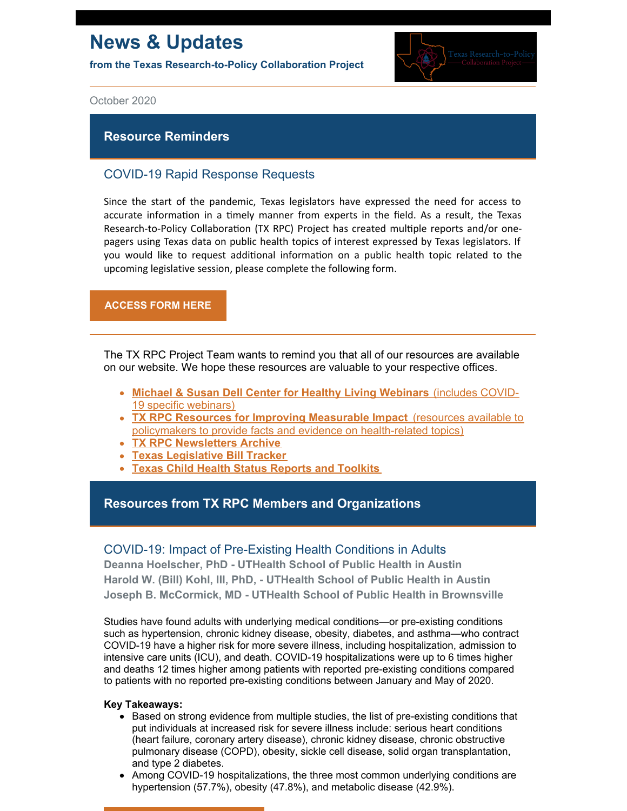# **News & Updates**

**from the Texas Research-to-Policy Collaboration Project**



October 2020

### **Resource Reminders**

## COVID-19 Rapid Response Requests

Since the start of the pandemic, Texas legislators have expressed the need for access to accurate information in a timely manner from experts in the field. As a result, the Texas Research-to-Policy Collaboration (TX RPC) Project has created multiple reports and/or onepagers using Texas data on public health topics of interest expressed by Texas legislators. If you would like to request additional information on a public health topic related to the upcoming legislative session, please complete the following form.

### **[ACCESS](https://docs.google.com/forms/u/2/d/1Wugxw_5Z2snWP5rEmX4N88dLKRnqrsAPYug_bCWMdCo/viewform?edit_requested=true) FORM HERE**

The TX RPC Project Team wants to remind you that all of our resources are available on our website. We hope these resources are valuable to your respective offices.

- **Michael & Susan Dell Center for Healthy Living [Webinars](https://sph.uth.edu/research/centers/dell/webinars/)** (includes COVID-19 specific webinars)
- **TX RPC Resources for Improving [Measurable](https://sph.uth.edu/research/centers/dell/legislative-initiatives/texas-rpc-resources) Impact** (resources available to policymakers to provide facts and evidence on health-related topics)
- **TX RPC [Newsletters](https://sph.uth.edu/research/centers/dell/legislative-initiatives/rpc-newsletters) Archive**
- **Texas [Legislative](https://sph.uth.edu/research/centers/dell/86th-texas-legislature/) Bill Tracker**
- **Texas Child Health Status Reports and [Toolkits](https://sph.uth.edu/research/centers/dell/texas-child-health-status-report/index.htm)**

## **Resources from TX RPC Members and Organizations**

### COVID-19: Impact of Pre-Existing Health Conditions in Adults

**Deanna Hoelscher, PhD - UTHealth School of Public Health in Austin Harold W. (Bill) Kohl, III, PhD, - UTHealth School of Public Health in Austin Joseph B. McCormick, MD - UTHealth School of Public Health in Brownsville**

Studies have found adults with underlying medical conditions—or pre-existing conditions such as hypertension, chronic kidney disease, obesity, diabetes, and asthma—who contract COVID-19 have a higher risk for more severe illness, including hospitalization, admission to intensive care units (ICU), and death. COVID-19 hospitalizations were up to 6 times higher and deaths 12 times higher among patients with reported pre-existing conditions compared to patients with no reported pre-existing conditions between January and May of 2020.

#### **Key Takeaways:**

- **Based on strong evidence from multiple studies, the list of pre-existing conditions that** put individuals at increased risk for severe illness include: serious heart conditions (heart failure, coronary artery disease), chronic kidney disease, chronic obstructive pulmonary disease (COPD), obesity, sickle cell disease, solid organ transplantation, and type 2 diabetes.
- Among COVID-19 hospitalizations, the three most common underlying conditions are hypertension (57.7%), obesity (47.8%), and metabolic disease (42.9%).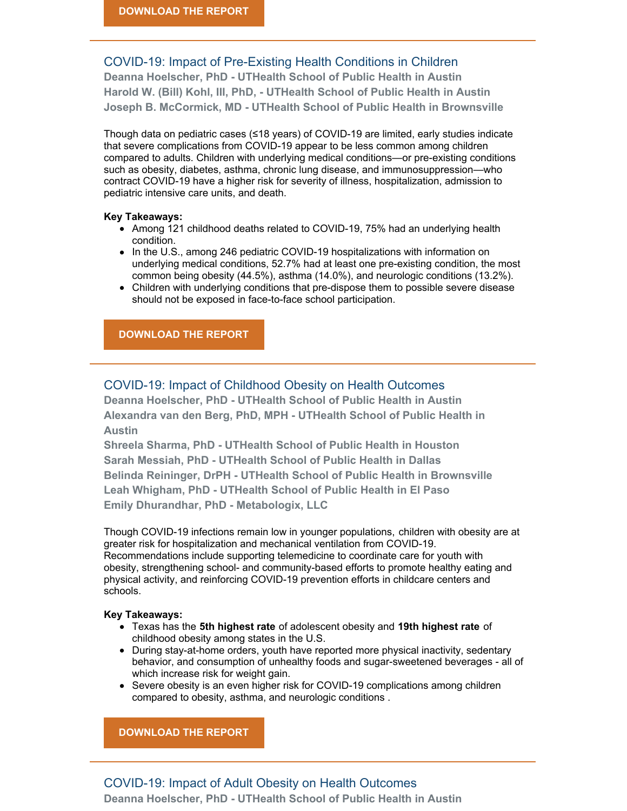# COVID-19: Impact of Pre-Existing Health Conditions in Children

**Deanna Hoelscher, PhD - UTHealth School of Public Health in Austin Harold W. (Bill) Kohl, III, PhD, - UTHealth School of Public Health in Austin Joseph B. McCormick, MD - UTHealth School of Public Health in Brownsville**

Though data on pediatric cases (≤18 years) of COVID-19 are limited, early studies indicate that severe complications from COVID-19 appear to be less common among children compared to adults. Children with underlying medical conditions—or pre-existing conditions such as obesity, diabetes, asthma, chronic lung disease, and immunosuppression—who contract COVID-19 have a higher risk for severity of illness, hospitalization, admission to pediatric intensive care units, and death.

#### **Key Takeaways:**

- Among 121 childhood deaths related to COVID-19, 75% had an underlying health condition.
- In the U.S., among 246 pediatric COVID-19 hospitalizations with information on underlying medical conditions, 52.7% had at least one pre-existing condition, the most common being obesity (44.5%), asthma (14.0%), and neurologic conditions (13.2%).
- Children with underlying conditions that pre-dispose them to possible severe disease should not be exposed in face-to-face school participation.

### **[DOWNLOAD](https://sph.uth.edu/research/centers/dell/legislative-initiatives/COVID-19 CHILD Pre-Existing Conditions.pdf) THE REPORT**

## COVID-19: Impact of Childhood Obesity on Health Outcomes

**Deanna Hoelscher, PhD - UTHealth School of Public Health in Austin Alexandra van den Berg, PhD, MPH - UTHealth School of Public Health in Austin**

**Shreela Sharma, PhD - UTHealth School of Public Health in Houston Sarah Messiah, PhD - UTHealth School of Public Health in Dallas Belinda Reininger, DrPH - UTHealth School of Public Health in Brownsville Leah Whigham, PhD - UTHealth School of Public Health in El Paso Emily Dhurandhar, PhD - Metabologix, LLC**

Though COVID-19 infections remain low in younger populations, children with obesity are at greater risk for hospitalization and mechanical ventilation from COVID-19. Recommendations include supporting telemedicine to coordinate care for youth with obesity, strengthening school- and community-based efforts to promote healthy eating and physical activity, and reinforcing COVID-19 prevention efforts in childcare centers and schools.

#### **Key Takeaways:**

- Texas has the **5th highest rate** of adolescent obesity and **19th highest rate** of childhood obesity among states in the U.S.
- During stay-at-home orders, youth have reported more physical inactivity, sedentary behavior, and consumption of unhealthy foods and sugar-sweetened beverages - all of which increase risk for weight gain.
- Severe obesity is an even higher risk for COVID-19 complications among children compared to obesity, asthma, and neurologic conditions .

**[DOWNLOAD](https://sph.uth.edu/research/centers/dell/legislative-initiatives/COVID-19 Childhood Obesity.pdf) THE REPORT**

### COVID-19: Impact of Adult Obesity on Health Outcomes **Deanna Hoelscher, PhD - UTHealth School of Public Health in Austin**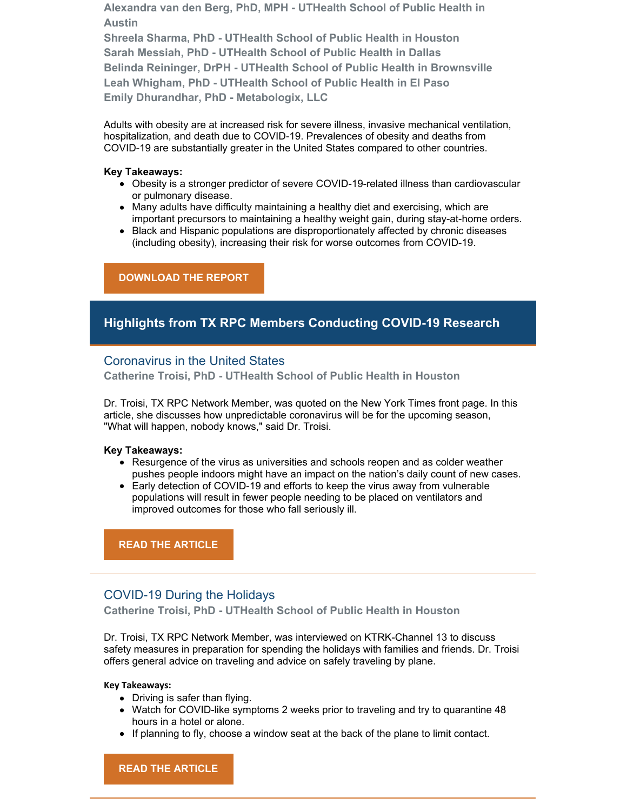**Alexandra van den Berg, PhD, MPH - UTHealth School of Public Health in Austin**

**Shreela Sharma, PhD - UTHealth School of Public Health in Houston Sarah Messiah, PhD - UTHealth School of Public Health in Dallas Belinda Reininger, DrPH - UTHealth School of Public Health in Brownsville Leah Whigham, PhD - UTHealth School of Public Health in El Paso Emily Dhurandhar, PhD - Metabologix, LLC**

Adults with obesity are at increased risk for severe illness, invasive mechanical ventilation, hospitalization, and death due to COVID-19. Prevalences of obesity and deaths from COVID-19 are substantially greater in the United States compared to other countries.

#### **Key Takeaways:**

- Obesity is a stronger predictor of severe COVID-19-related illness than cardiovascular or pulmonary disease.
- Many adults have difficulty maintaining a healthy diet and exercising, which are important precursors to maintaining a healthy weight gain, during stay-at-home orders.
- Black and Hispanic populations are disproportionately affected by chronic diseases (including obesity), increasing their risk for worse outcomes from COVID-19.

### **[DOWNLOAD](https://sph.uth.edu/research/centers/dell/legislative-initiatives/COVID-19 Adult Obesity.pdf) THE REPORT**

# **Highlights from TX RPC Members Conducting COVID-19 Research**

### Coronavirus in the United States

**Catherine Troisi, PhD - UTHealth School of Public Health in Houston**

Dr. Troisi, TX RPC Network Member, was quoted on the New York Times front page. In this article, she discusses how unpredictable coronavirus will be for the upcoming season, "What will happen, nobody knows," said Dr. Troisi.

#### **Key Takeaways:**

- Resurgence of the virus as universities and schools reopen and as colder weather pushes people indoors might have an impact on the nation's daily count of new cases.
- Early detection of COVID-19 and efforts to keep the virus away from vulnerable populations will result in fewer people needing to be placed on ventilators and improved outcomes for those who fall seriously ill.

**READ THE [ARTICLE](https://www.nytimes.com/2020/09/20/us/coronavirus-us-update.html)**

### COVID-19 During the Holidays

**Catherine Troisi, PhD - UTHealth School of Public Health in Houston**

Dr. Troisi, TX RPC Network Member, was interviewed on KTRK-Channel 13 to discuss safety measures in preparation for spending the holidays with families and friends. Dr. Troisi offers general advice on traveling and advice on safely traveling by plane.

#### **Key Takeaways:**

- Driving is safer than flying.
- Watch for COVID-like symptoms 2 weeks prior to traveling and try to quarantine 48 hours in a hotel or alone.
- If planning to fly, choose a window seat at the back of the plane to limit contact.

**READ THE [ARTICLE](https://abc13.com/society/how-to-enjoy-the-holidays-and-stay-safe-during-a-pandemic/6718705/)**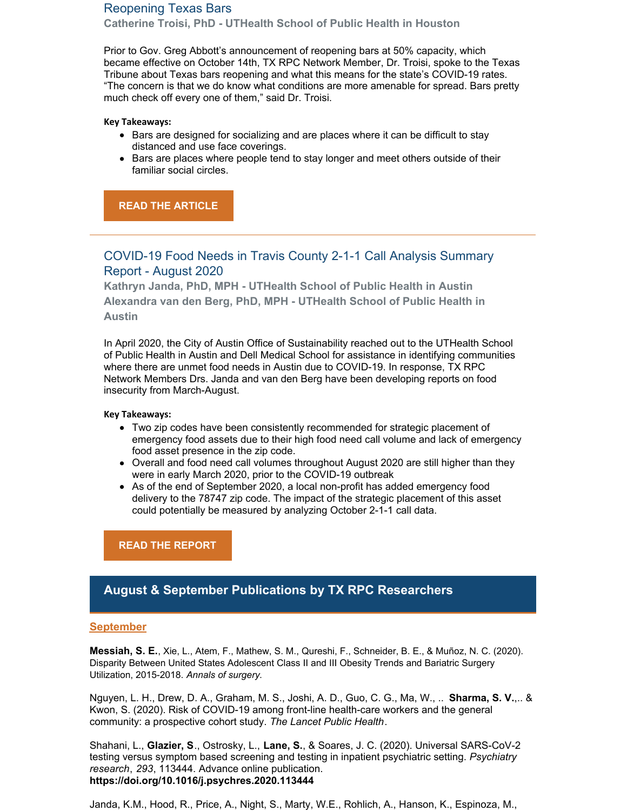# Reopening Texas Bars

**Catherine Troisi, PhD - UTHealth School of Public Health in Houston**

Prior to Gov. Greg Abbott's announcement of reopening bars at 50% capacity, which became effective on October 14th, TX RPC Network Member, Dr. Troisi, spoke to the Texas Tribune about Texas bars reopening and what this means for the state's COVID-19 rates. "The concern is that we do know what conditions are more amenable for spread. Bars pretty much check off every one of them," said Dr. Troisi.

#### **Key Takeaways:**

- Bars are designed for socializing and are places where it can be difficult to stay distanced and use face coverings.
- Bars are places where people tend to stay longer and meet others outside of their familiar social circles.

**READ THE [ARTICLE](https://www.texastribune.org/2020/10/05/texas-bars-coronavirus/)**

# COVID-19 Food Needs in Travis County 2-1-1 Call Analysis Summary Report - August 2020

**Kathryn Janda, PhD, MPH - UTHealth School of Public Health in Austin Alexandra van den Berg, PhD, MPH - UTHealth School of Public Health in Austin**

In April 2020, the City of Austin Office of Sustainability reached out to the UTHealth School of Public Health in Austin and Dell Medical School for assistance in identifying communities where there are unmet food needs in Austin due to COVID-19. In response, TX RPC Network Members Drs. Janda and van den Berg have been developing reports on food insecurity from March-August.

#### **Key Takeaways:**

- Two zip codes have been consistently recommended for strategic placement of emergency food assets due to their high food need call volume and lack of emergency food asset presence in the zip code.
- Overall and food need call volumes throughout August 2020 are still higher than they were in early March 2020, prior to the COVID-19 outbreak
- As of the end of September 2020, a local non-profit has added emergency food delivery to the 78747 zip code. The impact of the strategic placement of this asset could potentially be measured by analyzing October 2-1-1 call data.

**READ THE [REPORT](https://sph.uth.edu/research/centers/dell/resources/august 2-1-1 food needs report.pdf)**

### **August & September Publications by TX RPC Researchers**

### **September**

**Messiah, S. E.**, Xie, L., Atem, F., Mathew, S. M., Qureshi, F., Schneider, B. E., & Muñoz, N. C. (2020). Disparity Between United States Adolescent Class II and III Obesity Trends and Bariatric Surgery Utilization, 2015-2018. *Annals of surgery*.

Nguyen, L. H., Drew, D. A., Graham, M. S., Joshi, A. D., Guo, C. G., Ma, W., .. **Sharma, S. V.**,.. & Kwon, S. (2020). Risk of COVID-19 among front-line health-care workers and the general community: a prospective cohort study. *The Lancet Public Health*.

Shahani, L., **Glazier, S**., Ostrosky, L., **Lane, S.**, & Soares, J. C. (2020). Universal SARS-CoV-2 testing versus symptom based screening and testing in inpatient psychiatric setting. *Psychiatry research*, *293*, 113444. Advance online publication. **<https://doi.org/10.1016/j.psychres.2020.113444>**

Janda, K.M., Hood, R., Price, A., Night, S., Marty, W.E., Rohlich, A., Hanson, K., Espinoza, M.,